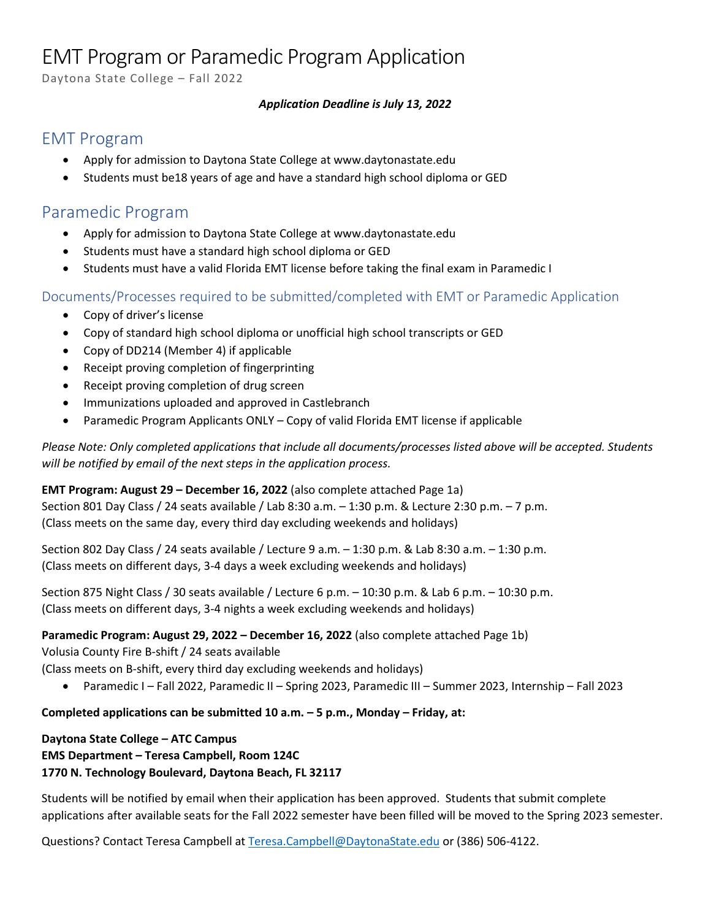# EMT Program or Paramedic Program Application

Daytona State College – Fall 2022

### *Application Deadline is July 13, 2022*

### EMT Program

- Apply for admission to Daytona State College at www.daytonastate.edu
- Students must be18 years of age and have a standard high school diploma or GED

## Paramedic Program

- Apply for admission to Daytona State College at www.daytonastate.edu
- Students must have a standard high school diploma or GED
- Students must have a valid Florida EMT license before taking the final exam in Paramedic I

### Documents/Processes required to be submitted/completed with EMT or Paramedic Application

- Copy of driver's license
- Copy of standard high school diploma or unofficial high school transcripts or GED
- Copy of DD214 (Member 4) if applicable
- Receipt proving completion of fingerprinting
- Receipt proving completion of drug screen
- Immunizations uploaded and approved in Castlebranch
- Paramedic Program Applicants ONLY Copy of valid Florida EMT license if applicable

*Please Note: Only completed applications that include all documents/processes listed above will be accepted. Students will be notified by email of the next steps in the application process.*

### **EMT Program: August 29 – December 16, 2022** (also complete attached Page 1a)

Section 801 Day Class / 24 seats available / Lab 8:30 a.m. – 1:30 p.m. & Lecture 2:30 p.m. – 7 p.m. (Class meets on the same day, every third day excluding weekends and holidays)

Section 802 Day Class / 24 seats available / Lecture 9 a.m. – 1:30 p.m. & Lab 8:30 a.m. – 1:30 p.m. (Class meets on different days, 3-4 days a week excluding weekends and holidays)

Section 875 Night Class / 30 seats available / Lecture 6 p.m. – 10:30 p.m. & Lab 6 p.m. – 10:30 p.m. (Class meets on different days, 3-4 nights a week excluding weekends and holidays)

### **Paramedic Program: August 29, 2022 – December 16, 2022** (also complete attached Page 1b)

Volusia County Fire B-shift / 24 seats available

(Class meets on B-shift, every third day excluding weekends and holidays)

• Paramedic I – Fall 2022, Paramedic II – Spring 2023, Paramedic III – Summer 2023, Internship – Fall 2023

### **Completed applications can be submitted 10 a.m. – 5 p.m., Monday – Friday, at:**

### **Daytona State College – ATC Campus EMS Department – Teresa Campbell, Room 124C 1770 N. Technology Boulevard, Daytona Beach, FL 32117**

Students will be notified by email when their application has been approved. Students that submit complete applications after available seats for the Fall 2022 semester have been filled will be moved to the Spring 2023 semester.

Questions? Contact Teresa Campbell at [Teresa.Campbell@DaytonaState.edu](mailto:Teresa.Campbell@DaytonaState.edu) or (386) 506-4122.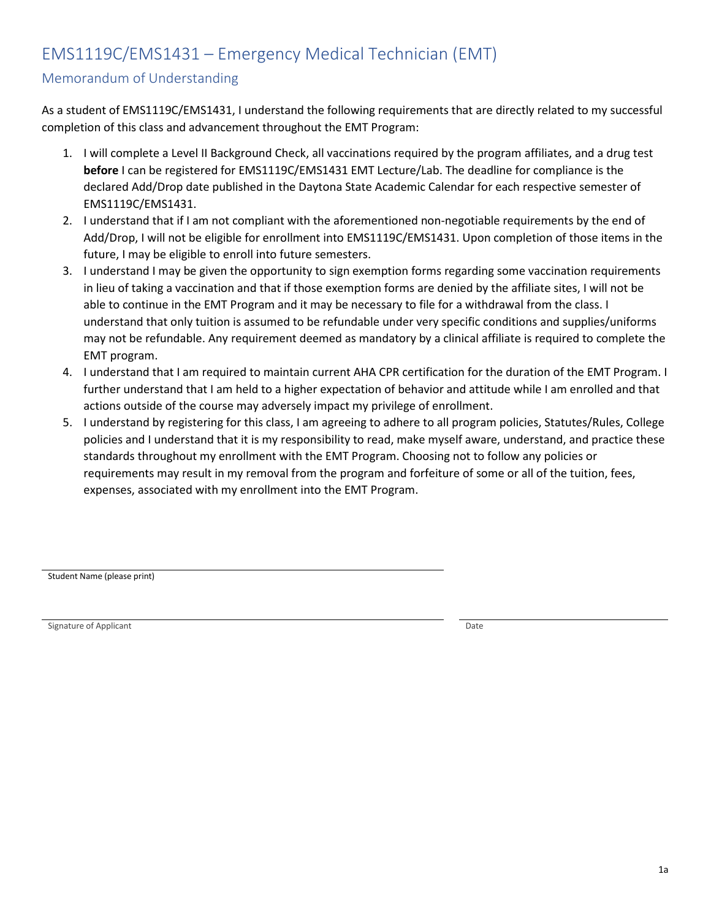# EMS1119C/EMS1431 – Emergency Medical Technician (EMT)

### Memorandum of Understanding

As a student of EMS1119C/EMS1431, I understand the following requirements that are directly related to my successful completion of this class and advancement throughout the EMT Program:

- 1. I will complete a Level II Background Check, all vaccinations required by the program affiliates, and a drug test **before** I can be registered for EMS1119C/EMS1431 EMT Lecture/Lab. The deadline for compliance is the declared Add/Drop date published in the Daytona State Academic Calendar for each respective semester of EMS1119C/EMS1431.
- 2. I understand that if I am not compliant with the aforementioned non-negotiable requirements by the end of Add/Drop, I will not be eligible for enrollment into EMS1119C/EMS1431. Upon completion of those items in the future, I may be eligible to enroll into future semesters.
- 3. I understand I may be given the opportunity to sign exemption forms regarding some vaccination requirements in lieu of taking a vaccination and that if those exemption forms are denied by the affiliate sites, I will not be able to continue in the EMT Program and it may be necessary to file for a withdrawal from the class. I understand that only tuition is assumed to be refundable under very specific conditions and supplies/uniforms may not be refundable. Any requirement deemed as mandatory by a clinical affiliate is required to complete the EMT program.
- 4. I understand that I am required to maintain current AHA CPR certification for the duration of the EMT Program. I further understand that I am held to a higher expectation of behavior and attitude while I am enrolled and that actions outside of the course may adversely impact my privilege of enrollment.
- 5. I understand by registering for this class, I am agreeing to adhere to all program policies, Statutes/Rules, College policies and I understand that it is my responsibility to read, make myself aware, understand, and practice these standards throughout my enrollment with the EMT Program. Choosing not to follow any policies or requirements may result in my removal from the program and forfeiture of some or all of the tuition, fees, expenses, associated with my enrollment into the EMT Program.

Student Name (please print)

Signature of Applicant Date of Applicant Date of Applicant Date of Applicant Date of Applicant Date of Applicant Date of Applicant Date of Applicant Date of Applicant Date of Applicant Date of Applicant Date of Applicant D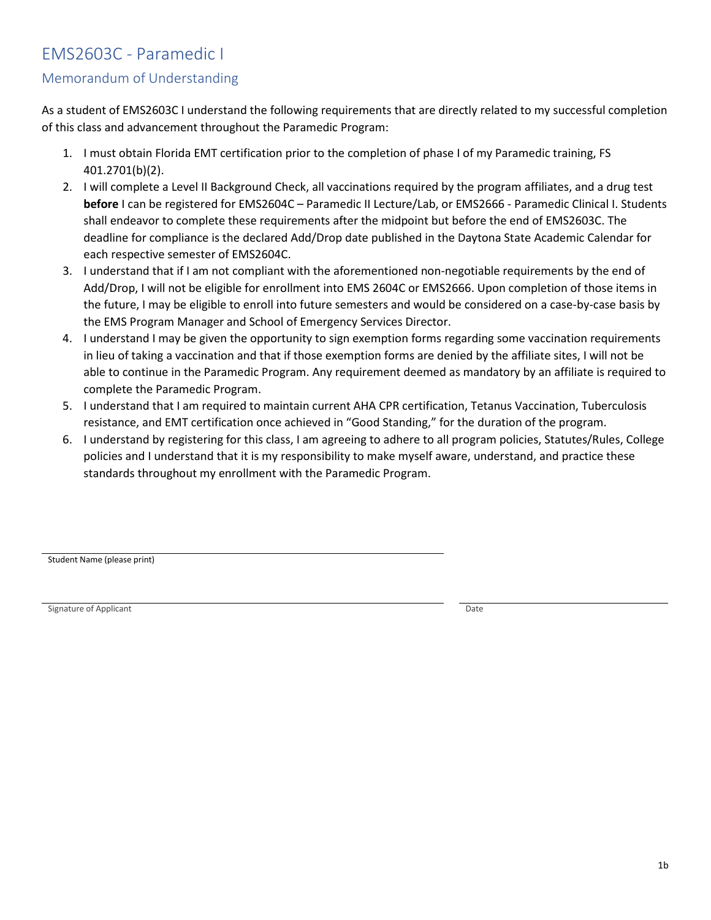## EMS2603C - Paramedic I

### Memorandum of Understanding

As a student of EMS2603C I understand the following requirements that are directly related to my successful completion of this class and advancement throughout the Paramedic Program:

- 1. I must obtain Florida EMT certification prior to the completion of phase I of my Paramedic training, FS 401.2701(b)(2).
- 2. I will complete a Level II Background Check, all vaccinations required by the program affiliates, and a drug test **before** I can be registered for EMS2604C – Paramedic II Lecture/Lab, or EMS2666 - Paramedic Clinical I. Students shall endeavor to complete these requirements after the midpoint but before the end of EMS2603C. The deadline for compliance is the declared Add/Drop date published in the Daytona State Academic Calendar for each respective semester of EMS2604C.
- 3. I understand that if I am not compliant with the aforementioned non-negotiable requirements by the end of Add/Drop, I will not be eligible for enrollment into EMS 2604C or EMS2666. Upon completion of those items in the future, I may be eligible to enroll into future semesters and would be considered on a case-by-case basis by the EMS Program Manager and School of Emergency Services Director.
- 4. I understand I may be given the opportunity to sign exemption forms regarding some vaccination requirements in lieu of taking a vaccination and that if those exemption forms are denied by the affiliate sites, I will not be able to continue in the Paramedic Program. Any requirement deemed as mandatory by an affiliate is required to complete the Paramedic Program.
- 5. I understand that I am required to maintain current AHA CPR certification, Tetanus Vaccination, Tuberculosis resistance, and EMT certification once achieved in "Good Standing," for the duration of the program.
- 6. I understand by registering for this class, I am agreeing to adhere to all program policies, Statutes/Rules, College policies and I understand that it is my responsibility to make myself aware, understand, and practice these standards throughout my enrollment with the Paramedic Program.

Student Name (please print)

Signature of Applicant Date Date of Applicant Date of Applicant Date of Applicant Date of Applicant Date of Applicant Date of Applicant Date of Applicant Date of Applicant Date of Applicant Date of Applicant Date of Applic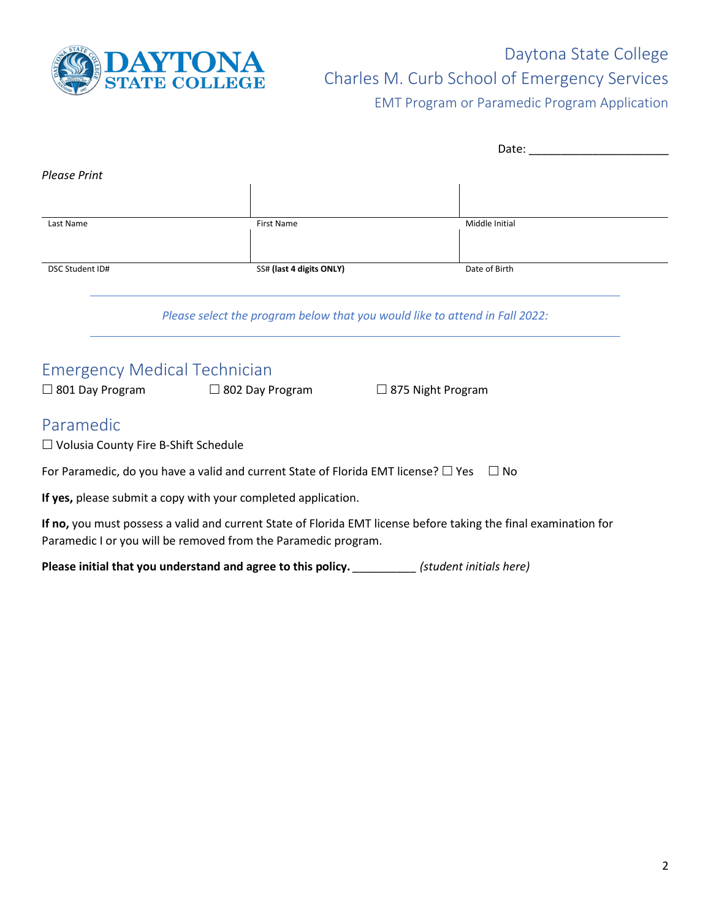

# Daytona State College Charles M. Curb School of Emergency Services EMT Program or Paramedic Program Application

|                                                               |                                                                                                                                                                                    | Date:                    |
|---------------------------------------------------------------|------------------------------------------------------------------------------------------------------------------------------------------------------------------------------------|--------------------------|
| <b>Please Print</b>                                           |                                                                                                                                                                                    |                          |
|                                                               |                                                                                                                                                                                    |                          |
| Last Name                                                     | <b>First Name</b>                                                                                                                                                                  | Middle Initial           |
| DSC Student ID#                                               | SS# (last 4 digits ONLY)                                                                                                                                                           | Date of Birth            |
| <b>Emergency Medical Technician</b><br>$\Box$ 801 Day Program | Please select the program below that you would like to attend in Fall 2022:<br>$\Box$ 802 Day Program                                                                              | $\Box$ 875 Night Program |
| Paramedic<br>$\Box$ Volusia County Fire B-Shift Schedule      |                                                                                                                                                                                    |                          |
|                                                               | For Paramedic, do you have a valid and current State of Florida EMT license? $\square$ Yes $\square$ No                                                                            |                          |
|                                                               | If yes, please submit a copy with your completed application.                                                                                                                      |                          |
|                                                               | If no, you must possess a valid and current State of Florida EMT license before taking the final examination for<br>Paramedic I or you will be removed from the Paramedic program. |                          |
|                                                               | Please initial that you understand and agree to this policy.                                                                                                                       | (student initials here)  |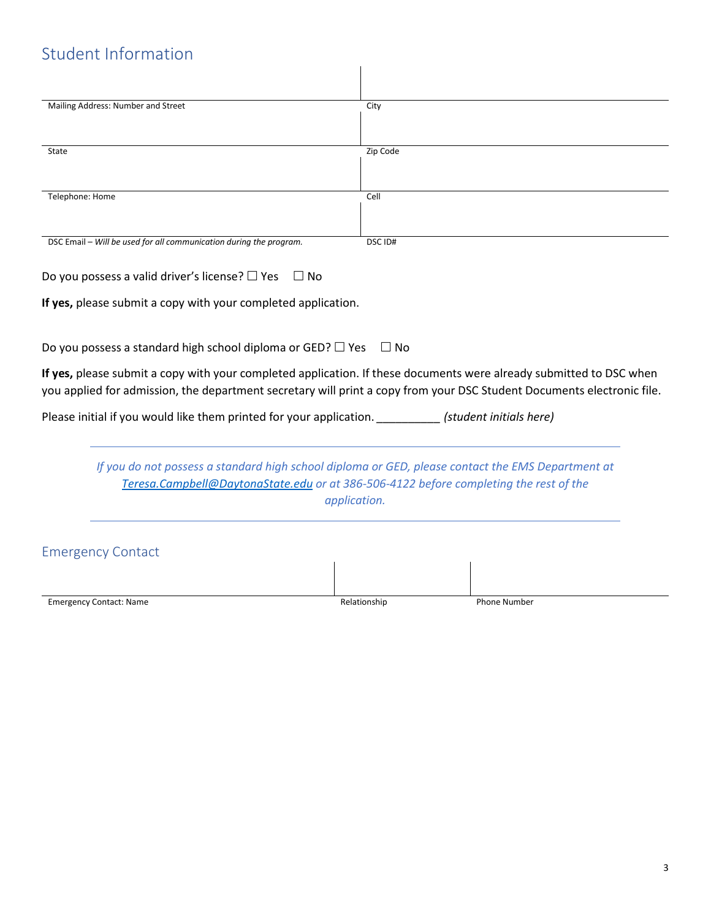# Student Information

| Mailing Address: Number and Street                                                                                                                                                                                                                                                                                | City               |                         |
|-------------------------------------------------------------------------------------------------------------------------------------------------------------------------------------------------------------------------------------------------------------------------------------------------------------------|--------------------|-------------------------|
| State                                                                                                                                                                                                                                                                                                             | Zip Code           |                         |
| Telephone: Home                                                                                                                                                                                                                                                                                                   | Cell               |                         |
| DSC Email - Will be used for all communication during the program.                                                                                                                                                                                                                                                | DSC <sub>ID#</sub> |                         |
| Do you possess a valid driver's license? $\Box$ Yes<br>$\Box$ No                                                                                                                                                                                                                                                  |                    |                         |
| If yes, please submit a copy with your completed application.                                                                                                                                                                                                                                                     |                    |                         |
| Do you possess a standard high school diploma or GED? $\Box$ Yes<br>If yes, please submit a copy with your completed application. If these documents were already submitted to DSC when<br>you applied for admission, the department secretary will print a copy from your DSC Student Documents electronic file. | $\Box$ No          |                         |
| Please initial if you would like them printed for your application.                                                                                                                                                                                                                                               |                    | (student initials here) |
| If you do not possess a standard high school diploma or GED, please contact the EMS Department at<br>Teresa.Campbell@DaytonaState.edu or at 386-506-4122 before completing the rest of the                                                                                                                        | application.       |                         |
| <b>Emergency Contact</b>                                                                                                                                                                                                                                                                                          |                    |                         |
|                                                                                                                                                                                                                                                                                                                   |                    |                         |
| <b>Emergency Contact: Name</b>                                                                                                                                                                                                                                                                                    | Relationship       | <b>Phone Number</b>     |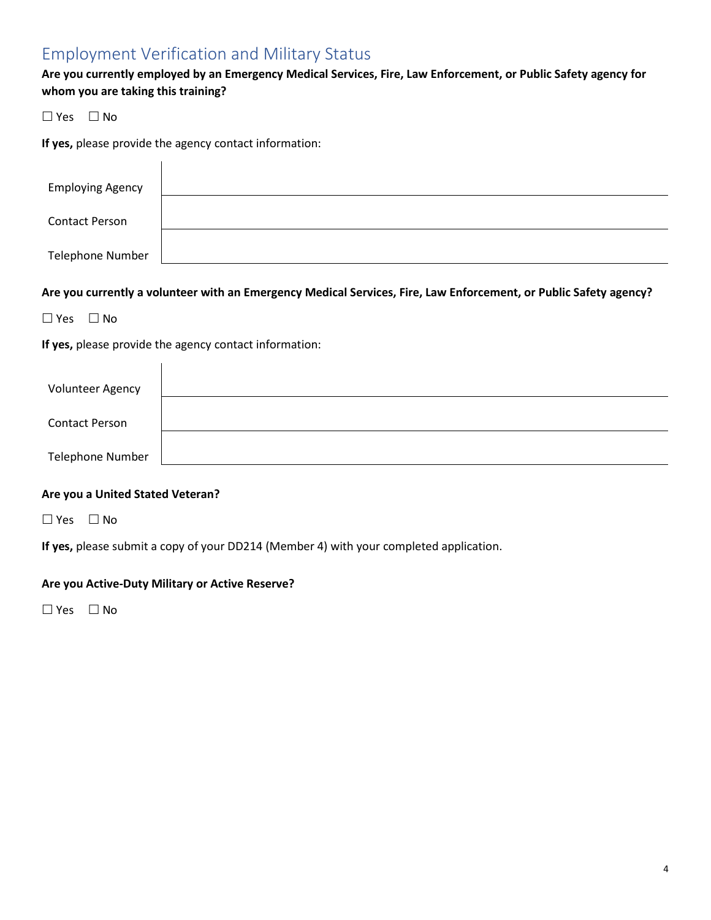## Employment Verification and Military Status

**Are you currently employed by an Emergency Medical Services, Fire, Law Enforcement, or Public Safety agency for whom you are taking this training?**

 $\Box$  Yes  $\Box$  No

**If yes,** please provide the agency contact information:

 $\overline{1}$ 

| <b>Employing Agency</b> |  |
|-------------------------|--|
| <b>Contact Person</b>   |  |
| <b>Telephone Number</b> |  |

**Are you currently a volunteer with an Emergency Medical Services, Fire, Law Enforcement, or Public Safety agency?**

 $\square$  Yes  $\square$  No

**If yes,** please provide the agency contact information:

 $\overline{1}$ 

| <b>Volunteer Agency</b> |  |
|-------------------------|--|
| <b>Contact Person</b>   |  |
| <b>Telephone Number</b> |  |

### **Are you a United Stated Veteran?**

 $\Box$  Yes  $\Box$  No

**If yes,** please submit a copy of your DD214 (Member 4) with your completed application.

### **Are you Active-Duty Military or Active Reserve?**

 $\Box$  Yes  $\Box$  No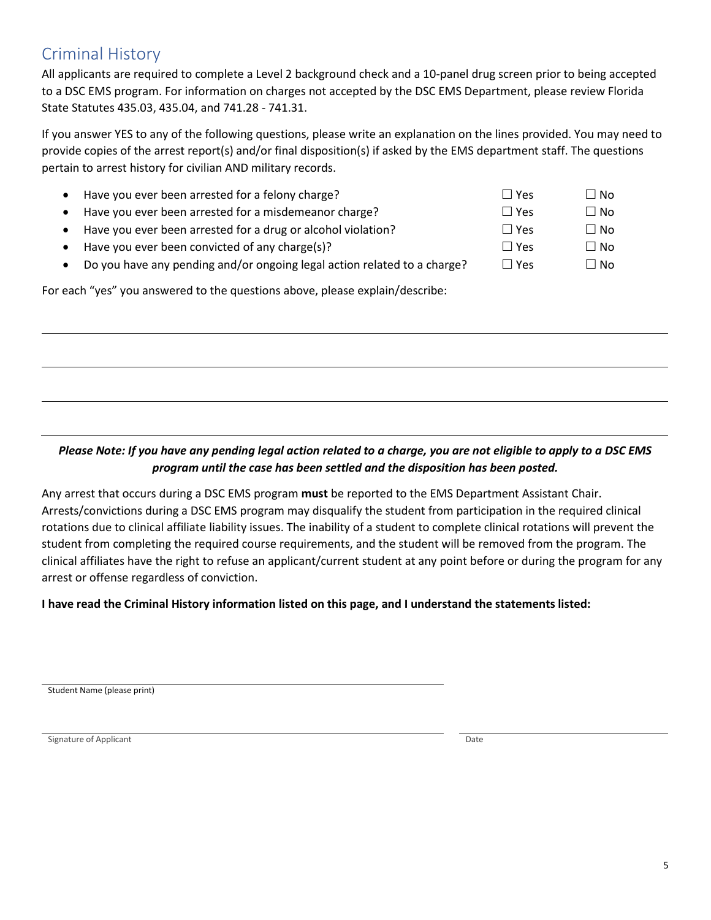# Criminal History

All applicants are required to complete a Level 2 background check and a 10-panel drug screen prior to being accepted to a DSC EMS program. For information on charges not accepted by the DSC EMS Department, please review Florida State Statutes 435.03, 435.04, and 741.28 - 741.31.

If you answer YES to any of the following questions, please write an explanation on the lines provided. You may need to provide copies of the arrest report(s) and/or final disposition(s) if asked by the EMS department staff. The questions pertain to arrest history for civilian AND military records.

- Have you ever been arrested for a felony charge? • Have you ever been arrested for a misdemeanor charge? Have you ever been arrested for a drug or alcohol violation?
- $\bullet$  Have you ever been convicted of any charge(s)?
- Do you have any pending and/or ongoing legal action related to a charge?  $\square$  Yes  $\square$  No

For each "yes" you answered to the questions above, please explain/describe:

### *Please Note: If you have any pending legal action related to a charge, you are not eligible to apply to a DSC EMS program until the case has been settled and the disposition has been posted.*

Any arrest that occurs during a DSC EMS program **must** be reported to the EMS Department Assistant Chair. Arrests/convictions during a DSC EMS program may disqualify the student from participation in the required clinical rotations due to clinical affiliate liability issues. The inability of a student to complete clinical rotations will prevent the student from completing the required course requirements, and the student will be removed from the program. The clinical affiliates have the right to refuse an applicant/current student at any point before or during the program for any arrest or offense regardless of conviction.

### **I have read the Criminal History information listed on this page, and I understand the statements listed:**

Student Name (please print)

Signature of Applicant Date of Applicant Date of Applicant Date of Applicant Date of Applicant Date of Applicant Date of Applicant Date of Applicant Date of Applicant Date of Applicant Date of Applicant Date of Applicant D

| $\Box$ Yes | ∏ No      |
|------------|-----------|
| $\Box$ Yes | $\Box$ No |
| $\Box$ Yes | ∏ No      |
| $\Box$ Yes | ∏ No      |
|            |           |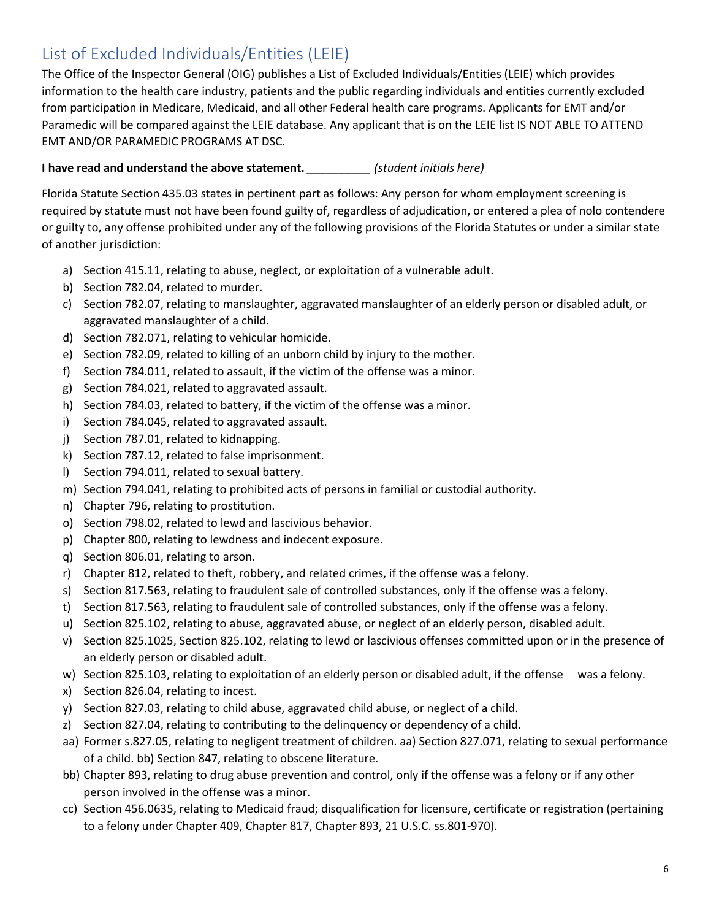# List of Excluded Individuals/Entities (LEIE)

The Office of the Inspector General (OIG) publishes a List of Excluded Individuals/Entities (LEIE) which provides information to the health care industry, patients and the public regarding individuals and entities currently excluded from participation in Medicare, Medicaid, and all other Federal health care programs. Applicants for EMT and/or Paramedic will be compared against the LEIE database. Any applicant that is on the LEIE list IS NOT ABLE TO ATTEND EMT AND/OR PARAMEDIC PROGRAMS AT DSC.

### **I have read and understand the above statement.** *\_\_\_\_\_\_\_\_\_\_ (student initials here)*

Florida Statute Section 435.03 states in pertinent part as follows: Any person for whom employment screening is required by statute must not have been found guilty of, regardless of adjudication, or entered a plea of nolo contendere or guilty to, any offense prohibited under any of the following provisions of the Florida Statutes or under a similar state of another jurisdiction:

- a) Section 415.11, relating to abuse, neglect, or exploitation of a vulnerable adult.
- b) Section 782.04, related to murder.
- c) Section 782.07, relating to manslaughter, aggravated manslaughter of an elderly person or disabled adult, or aggravated manslaughter of a child.
- d) Section 782.071, relating to vehicular homicide.
- e) Section 782.09, related to killing of an unborn child by injury to the mother.
- f) Section 784.011, related to assault, if the victim of the offense was a minor.
- g) Section 784.021, related to aggravated assault.
- h) Section 784.03, related to battery, if the victim of the offense was a minor.
- i) Section 784.045, related to aggravated assault.
- j) Section 787.01, related to kidnapping.
- k) Section 787.12, related to false imprisonment.
- l) Section 794.011, related to sexual battery.
- m) Section 794.041, relating to prohibited acts of persons in familial or custodial authority.
- n) Chapter 796, relating to prostitution.
- o) Section 798.02, related to lewd and lascivious behavior.
- p) Chapter 800, relating to lewdness and indecent exposure.
- q) Section 806.01, relating to arson.
- r) Chapter 812, related to theft, robbery, and related crimes, if the offense was a felony.
- s) Section 817.563, relating to fraudulent sale of controlled substances, only if the offense was a felony.
- t) Section 817.563, relating to fraudulent sale of controlled substances, only if the offense was a felony.
- u) Section 825.102, relating to abuse, aggravated abuse, or neglect of an elderly person, disabled adult.
- v) Section 825.1025, Section 825.102, relating to lewd or lascivious offenses committed upon or in the presence of an elderly person or disabled adult.
- w) Section 825.103, relating to exploitation of an elderly person or disabled adult, if the offense was a felony.
- x) Section 826.04, relating to incest.
- y) Section 827.03, relating to child abuse, aggravated child abuse, or neglect of a child.
- z) Section 827.04, relating to contributing to the delinquency or dependency of a child.
- aa) Former s.827.05, relating to negligent treatment of children. aa) Section 827.071, relating to sexual performance of a child. bb) Section 847, relating to obscene literature.
- bb) Chapter 893, relating to drug abuse prevention and control, only if the offense was a felony or if any other person involved in the offense was a minor.
- cc) Section 456.0635, relating to Medicaid fraud; disqualification for licensure, certificate or registration (pertaining to a felony under Chapter 409, Chapter 817, Chapter 893, 21 U.S.C. ss.801-970).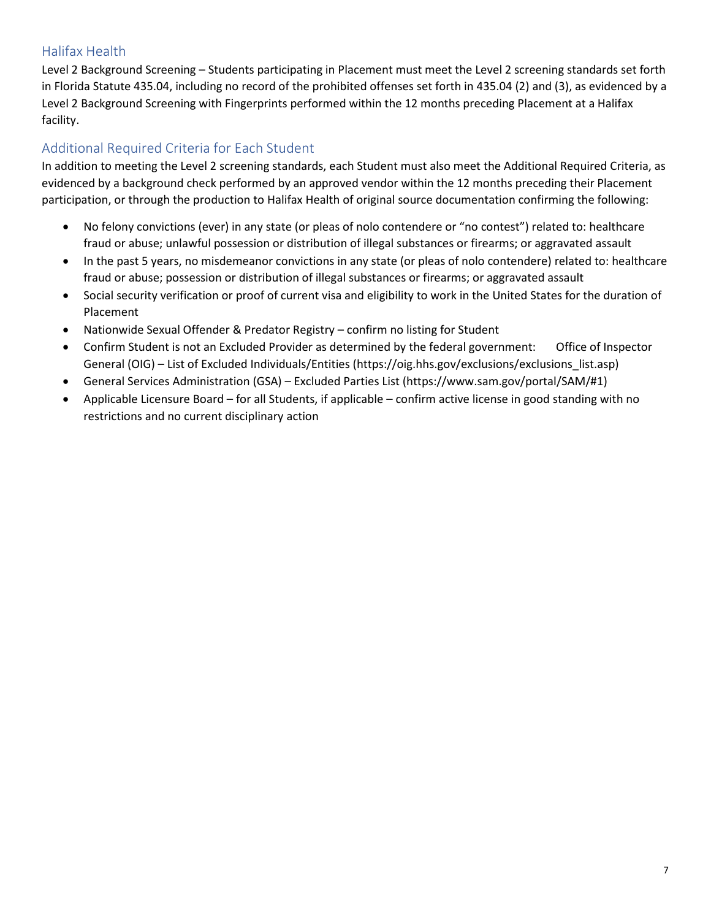### Halifax Health

Level 2 Background Screening – Students participating in Placement must meet the Level 2 screening standards set forth in Florida Statute 435.04, including no record of the prohibited offenses set forth in 435.04 (2) and (3), as evidenced by a Level 2 Background Screening with Fingerprints performed within the 12 months preceding Placement at a Halifax facility.

### Additional Required Criteria for Each Student

In addition to meeting the Level 2 screening standards, each Student must also meet the Additional Required Criteria, as evidenced by a background check performed by an approved vendor within the 12 months preceding their Placement participation, or through the production to Halifax Health of original source documentation confirming the following:

- No felony convictions (ever) in any state (or pleas of nolo contendere or "no contest") related to: healthcare fraud or abuse; unlawful possession or distribution of illegal substances or firearms; or aggravated assault
- In the past 5 years, no misdemeanor convictions in any state (or pleas of nolo contendere) related to: healthcare fraud or abuse; possession or distribution of illegal substances or firearms; or aggravated assault
- Social security verification or proof of current visa and eligibility to work in the United States for the duration of Placement
- Nationwide Sexual Offender & Predator Registry confirm no listing for Student
- Confirm Student is not an Excluded Provider as determined by the federal government: Office of Inspector General (OIG) – List of Excluded Individuals/Entities (https://oig.hhs.gov/exclusions/exclusions\_list.asp)
- General Services Administration (GSA) Excluded Parties List (https://www.sam.gov/portal/SAM/#1)
- Applicable Licensure Board for all Students, if applicable confirm active license in good standing with no restrictions and no current disciplinary action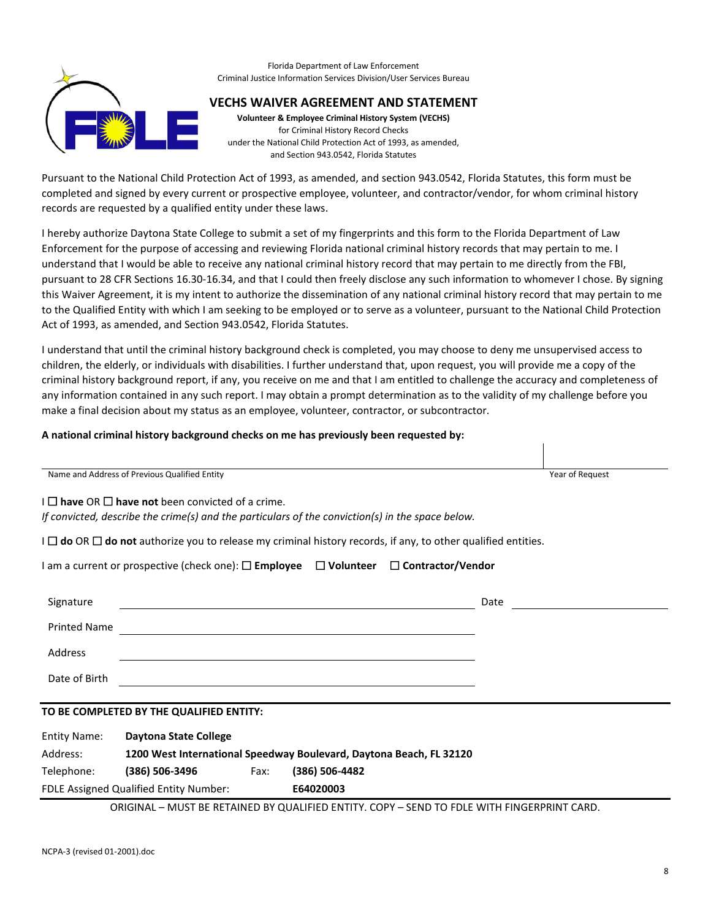

#### Florida Department of Law Enforcement Criminal Justice Information Services Division/User Services Bureau

### **VECHS WAIVER AGREEMENT AND STATEMENT**

**Volunteer & Employee Criminal History System (VECHS)**  for Criminal History Record Checks under the National Child Protection Act of 1993, as amended, and Section 943.0542, Florida Statutes

Pursuant to the National Child Protection Act of 1993, as amended, and section 943.0542, Florida Statutes, this form must be completed and signed by every current or prospective employee, volunteer, and contractor/vendor, for whom criminal history records are requested by a qualified entity under these laws.

I hereby authorize Daytona State College to submit a set of my fingerprints and this form to the Florida Department of Law Enforcement for the purpose of accessing and reviewing Florida national criminal history records that may pertain to me. I understand that I would be able to receive any national criminal history record that may pertain to me directly from the FBI, pursuant to 28 CFR Sections 16.30-16.34, and that I could then freely disclose any such information to whomever I chose. By signing this Waiver Agreement, it is my intent to authorize the dissemination of any national criminal history record that may pertain to me to the Qualified Entity with which I am seeking to be employed or to serve as a volunteer, pursuant to the National Child Protection Act of 1993, as amended, and Section 943.0542, Florida Statutes.

I understand that until the criminal history background check is completed, you may choose to deny me unsupervised access to children, the elderly, or individuals with disabilities. I further understand that, upon request, you will provide me a copy of the criminal history background report, if any, you receive on me and that I am entitled to challenge the accuracy and completeness of any information contained in any such report. I may obtain a prompt determination as to the validity of my challenge before you make a final decision about my status as an employee, volunteer, contractor, or subcontractor.

### **A national criminal history background checks on me has previously been requested by:**

| Name and Address of Previous Qualified Entity                                                                                                 | Year of Request |
|-----------------------------------------------------------------------------------------------------------------------------------------------|-----------------|
| $I \square$ have OR $\square$ have not been convicted of a crime.                                                                             |                 |
| If convicted, describe the crime(s) and the particulars of the conviction(s) in the space below.                                              |                 |
| $I \square$ do OR $\square$ do not authorize you to release my criminal history records, if any, to other qualified entities.                 |                 |
| I am a current or prospective (check one): $\square$ Employee $\square$ Volunteer $\square$ Contractor/Vendor                                 |                 |
| Signature<br>Date<br><u> 1980 - Johann Barnett, fransk politik (f. 1980)</u>                                                                  |                 |
| <b>Printed Name</b><br><u> 1989 - Johann Stoff, deutscher Stoffen und der Stoffen und der Stoffen und der Stoffen und der Stoffen und der</u> |                 |
| Address                                                                                                                                       |                 |
| Date of Birth<br><u> 1989 - Johann Stein, fransk politik (d. 1989)</u>                                                                        |                 |
| TO BE COMPLETED BY THE QUALIFIED ENTITY:                                                                                                      |                 |
| <b>Entity Name:</b><br><b>Daytona State College</b>                                                                                           |                 |
| Address:<br>1200 West International Speedway Boulevard, Daytona Beach, FL 32120                                                               |                 |
| (386) 506-3496 Fax:<br>Telephone:<br>(386) 506-4482                                                                                           |                 |
| FDLE Assigned Qualified Entity Number:<br>E64020003                                                                                           |                 |

ORIGINAL – MUST BE RETAINED BY QUALIFIED ENTITY. COPY – SEND TO FDLE WITH FINGERPRINT CARD.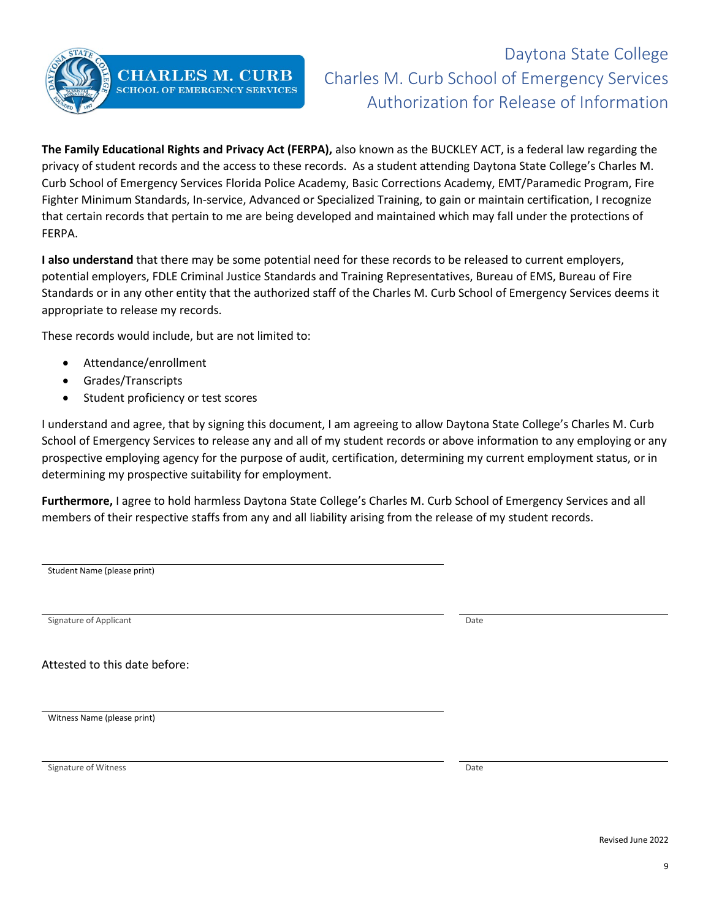

# Daytona State College Charles M. Curb School of Emergency Services Authorization for Release of Information

**The Family Educational Rights and Privacy Act (FERPA),** also known as the BUCKLEY ACT, is a federal law regarding the privacy of student records and the access to these records. As a student attending Daytona State College's Charles M. Curb School of Emergency Services Florida Police Academy, Basic Corrections Academy, EMT/Paramedic Program, Fire Fighter Minimum Standards, In-service, Advanced or Specialized Training, to gain or maintain certification, I recognize that certain records that pertain to me are being developed and maintained which may fall under the protections of FERPA.

**I also understand** that there may be some potential need for these records to be released to current employers, potential employers, FDLE Criminal Justice Standards and Training Representatives, Bureau of EMS, Bureau of Fire Standards or in any other entity that the authorized staff of the Charles M. Curb School of Emergency Services deems it appropriate to release my records.

These records would include, but are not limited to:

- Attendance/enrollment
- Grades/Transcripts
- Student proficiency or test scores

I understand and agree, that by signing this document, I am agreeing to allow Daytona State College's Charles M. Curb School of Emergency Services to release any and all of my student records or above information to any employing or any prospective employing agency for the purpose of audit, certification, determining my current employment status, or in determining my prospective suitability for employment.

**Furthermore,** I agree to hold harmless Daytona State College's Charles M. Curb School of Emergency Services and all members of their respective staffs from any and all liability arising from the release of my student records.

| Student Name (please print)   |      |
|-------------------------------|------|
|                               |      |
|                               |      |
|                               |      |
| Signature of Applicant        | Date |
|                               |      |
| Attested to this date before: |      |
|                               |      |
|                               |      |
| Witness Name (please print)   |      |
|                               |      |
|                               |      |
| Signature of Witness          | Date |
|                               |      |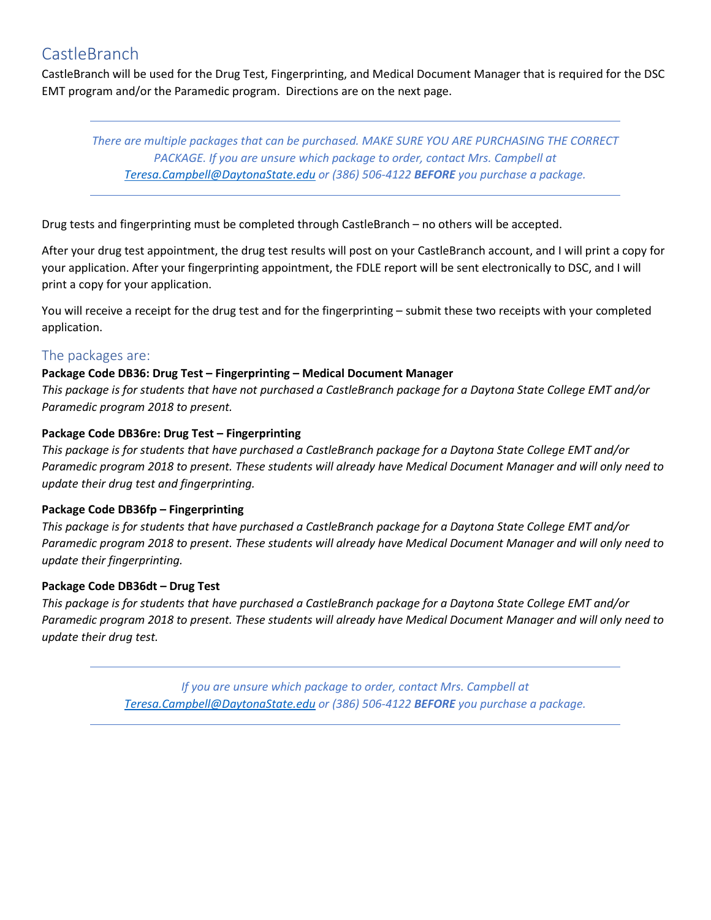## **CastleBranch**

CastleBranch will be used for the Drug Test, Fingerprinting, and Medical Document Manager that is required for the DSC EMT program and/or the Paramedic program. Directions are on the next page.

*There are multiple packages that can be purchased. MAKE SURE YOU ARE PURCHASING THE CORRECT PACKAGE. If you are unsure which package to order, contact Mrs. Campbell at [Teresa.Campbell@DaytonaState.edu](mailto:Teresa.Campbell@DaytonaState.edu) or (386) 506-4122 BEFORE you purchase a package.*

Drug tests and fingerprinting must be completed through CastleBranch – no others will be accepted.

After your drug test appointment, the drug test results will post on your CastleBranch account, and I will print a copy for your application. After your fingerprinting appointment, the FDLE report will be sent electronically to DSC, and I will print a copy for your application.

You will receive a receipt for the drug test and for the fingerprinting – submit these two receipts with your completed application.

### The packages are:

### **Package Code DB36: Drug Test – Fingerprinting – Medical Document Manager**

*This package is for students that have not purchased a CastleBranch package for a Daytona State College EMT and/or Paramedic program 2018 to present.*

### **Package Code DB36re: Drug Test – Fingerprinting**

*This package is for students that have purchased a CastleBranch package for a Daytona State College EMT and/or Paramedic program 2018 to present. These students will already have Medical Document Manager and will only need to update their drug test and fingerprinting.*

### **Package Code DB36fp – Fingerprinting**

*This package is for students that have purchased a CastleBranch package for a Daytona State College EMT and/or Paramedic program 2018 to present. These students will already have Medical Document Manager and will only need to update their fingerprinting.*

### **Package Code DB36dt – Drug Test**

*This package is for students that have purchased a CastleBranch package for a Daytona State College EMT and/or Paramedic program 2018 to present. These students will already have Medical Document Manager and will only need to update their drug test.*

> *If you are unsure which package to order, contact Mrs. Campbell at [Teresa.Campbell@DaytonaState.edu](mailto:Teresa.Campbell@DaytonaState.edu) or (386) 506-4122 BEFORE you purchase a package.*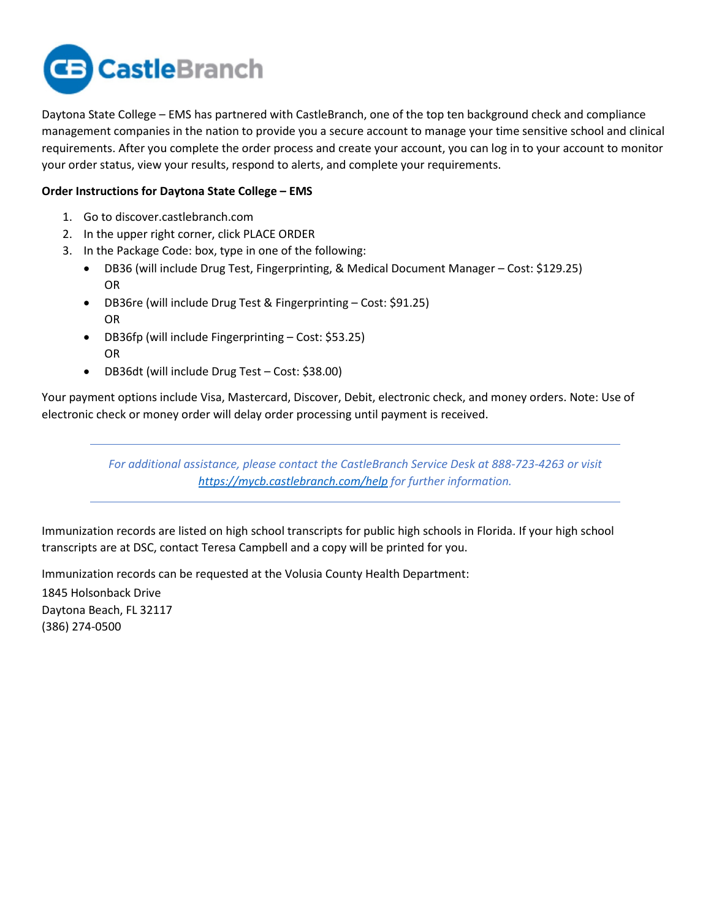

Daytona State College – EMS has partnered with CastleBranch, one of the top ten background check and compliance management companies in the nation to provide you a secure account to manage your time sensitive school and clinical requirements. After you complete the order process and create your account, you can log in to your account to monitor your order status, view your results, respond to alerts, and complete your requirements.

### **Order Instructions for Daytona State College – EMS**

- 1. Go to discover.castlebranch.com
- 2. In the upper right corner, click PLACE ORDER
- 3. In the Package Code: box, type in one of the following:
	- DB36 (will include Drug Test, Fingerprinting, & Medical Document Manager Cost: \$129.25) OR
	- DB36re (will include Drug Test & Fingerprinting Cost: \$91.25) OR
	- DB36fp (will include Fingerprinting Cost: \$53.25) OR
	- DB36dt (will include Drug Test Cost: \$38.00)

Your payment options include Visa, Mastercard, Discover, Debit, electronic check, and money orders. Note: Use of electronic check or money order will delay order processing until payment is received.

> *For additional assistance, please contact the CastleBranch Service Desk at 888-723-4263 or visit <https://mycb.castlebranch.com/help> for further information.*

Immunization records are listed on high school transcripts for public high schools in Florida. If your high school transcripts are at DSC, contact Teresa Campbell and a copy will be printed for you.

Immunization records can be requested at the Volusia County Health Department:

1845 Holsonback Drive Daytona Beach, FL 32117 (386) 274-0500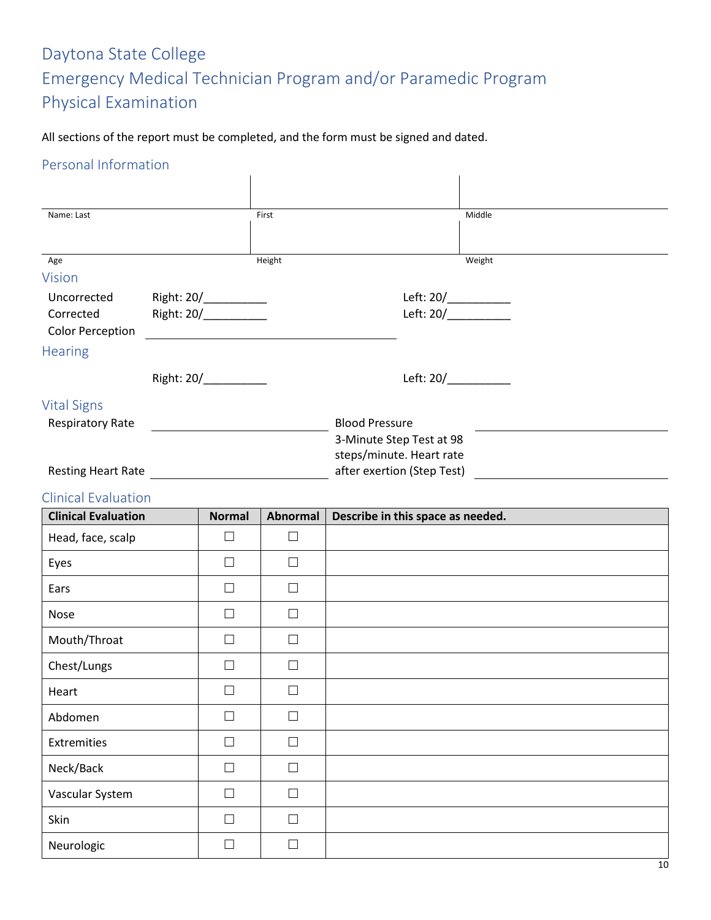# Daytona State College Emergency Medical Technician Program and/or Paramedic Program Physical Examination

All sections of the report must be completed, and the form must be signed and dated.

### Personal Information

| Name: Last                 |                       | First  | Middle                     |
|----------------------------|-----------------------|--------|----------------------------|
|                            |                       |        |                            |
| Age                        |                       | Height | Weight                     |
| <b>Vision</b>              |                       |        |                            |
| Uncorrected                | Right: 20/___________ |        | Left: 20/___________       |
| Corrected                  | Right: 20/            |        | Left: $20/$                |
| <b>Color Perception</b>    |                       |        |                            |
| <b>Hearing</b>             |                       |        |                            |
|                            | Right: 20/            |        | Left: $20/$                |
| <b>Vital Signs</b>         |                       |        |                            |
| <b>Respiratory Rate</b>    |                       |        | <b>Blood Pressure</b>      |
|                            |                       |        | 3-Minute Step Test at 98   |
|                            |                       |        | steps/minute. Heart rate   |
| <b>Resting Heart Rate</b>  |                       |        | after exertion (Step Test) |
| <b>Clinical Evaluation</b> |                       |        |                            |

| <b>Clinical Evaluation</b> | <b>Normal</b> | <b>Abnormal</b> | Describe in this space as needed. |
|----------------------------|---------------|-----------------|-----------------------------------|
| Head, face, scalp          | $\Box$        | $\Box$          |                                   |
| Eyes                       | $\Box$        | П               |                                   |
| Ears                       | $\Box$        | П               |                                   |
| Nose                       | $\Box$        | $\Box$          |                                   |
| Mouth/Throat               | $\Box$        | $\Box$          |                                   |
| Chest/Lungs                | $\Box$        | П               |                                   |
| Heart                      | $\Box$        | П               |                                   |
| Abdomen                    | $\Box$        | П               |                                   |
| Extremities                | $\Box$        | П               |                                   |
| Neck/Back                  | $\Box$        | $\Box$          |                                   |
| Vascular System            | $\Box$        | $\Box$          |                                   |
| Skin                       | $\Box$        | $\Box$          |                                   |
| Neurologic                 | $\Box$        | П               |                                   |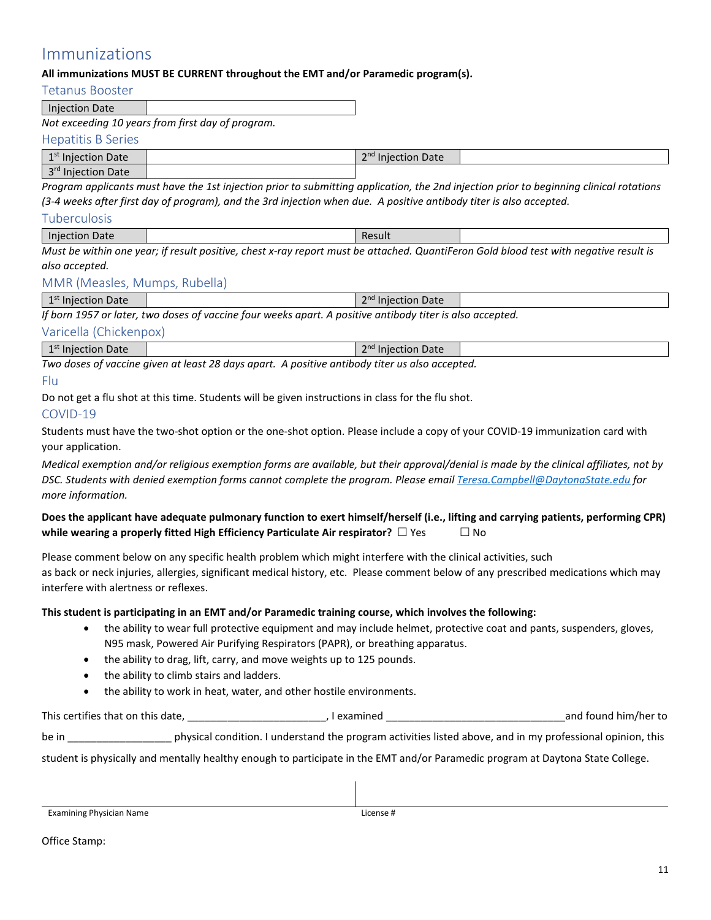### Immunizations

### **All immunizations MUST BE CURRENT throughout the EMT and/or Paramedic program(s).**

Tetanus Booster

Injection Date

*Not exceeding 10 years from first day of program.*

#### Hepatitis B Series

| 1 st<br>Injection Date<br><b>.</b>                     | $\mathsf{and}$<br>stion Date<br>- |  |
|--------------------------------------------------------|-----------------------------------|--|
| $\lceil$ ord<br>Date<br>. ior<br><b>IIIIECUL</b><br>ັບ |                                   |  |

*Program applicants must have the 1st injection prior to submitting application, the 2nd injection prior to beginning clinical rotations (3-4 weeks after first day of program), and the 3rd injection when due. A positive antibody titer is also accepted.*

### Tuberculosis

| .<br>Date<br><b>Inject</b><br>ection |     |          |  |  | Result |               |        |                          |          |  |          |  |     |  |
|--------------------------------------|-----|----------|--|--|--------|---------------|--------|--------------------------|----------|--|----------|--|-----|--|
| $\sim$ $\sim$<br>.                   | . . | $\cdots$ |  |  |        | $\sim$ $\sim$ | $\sim$ | $\overline{\phantom{a}}$ | .<br>- - |  | $\cdots$ |  | . . |  |

*Must be within one year; if result positive, chest x-ray report must be attached. QuantiFeron Gold blood test with negative result is also accepted.*

### MMR (Measles, Mumps, Rubella)

| A <sub>5</sub><br>$\n  n$<br>Date<br>Date<br>Injection<br>- пољ<br>- |
|----------------------------------------------------------------------|
|----------------------------------------------------------------------|

*If born 1957 or later, two doses of vaccine four weeks apart. A positive antibody titer is also accepted.* 

### Varicella (Chickenpox)

| <sup>1st</sup> Injection Date<br><b>STATISTICS</b> | <b>Injection Date</b> |  |  |
|----------------------------------------------------|-----------------------|--|--|
|                                                    |                       |  |  |

*Two doses of vaccine given at least 28 days apart. A positive antibody titer us also accepted.*

### Flu

Do not get a flu shot at this time. Students will be given instructions in class for the flu shot.

### COVID-19

Students must have the two-shot option or the one-shot option. Please include a copy of your COVID-19 immunization card with your application.

*Medical exemption and/or religious exemption forms are available, but their approval/denial is made by the clinical affiliates, not by DSC. Students with denied exemption forms cannot complete the program. Please emai[l Teresa.Campbell@DaytonaState.edu](mailto:Teresa.Campbell@DaytonaState.edu) for more information.*

### **Does the applicant have adequate pulmonary function to exert himself/herself (i.e., lifting and carrying patients, performing CPR) while wearing a properly fitted High Efficiency Particulate Air respirator?**  $\Box$  Yes  $\Box$  No

Please comment below on any specific health problem which might interfere with the clinical activities, such as back or neck injuries, allergies, significant medical history, etc. Please comment below of any prescribed medications which may interfere with alertness or reflexes.

### **This student is participating in an EMT and/or Paramedic training course, which involves the following:**

- the ability to wear full protective equipment and may include helmet, protective coat and pants, suspenders, gloves, N95 mask, Powered Air Purifying Respirators (PAPR), or breathing apparatus.
- the ability to drag, lift, carry, and move weights up to 125 pounds.
- the ability to climb stairs and ladders.
- the ability to work in heat, water, and other hostile environments.

This certifies that on this date, \_\_\_\_\_\_\_\_\_\_\_\_\_\_\_\_\_\_\_\_\_\_\_\_, I examined \_\_\_\_\_\_\_\_\_\_\_\_\_\_\_\_\_\_\_\_\_\_\_\_\_\_\_\_\_\_\_and found him/her to

be in **the in condition.** I understand the program activities listed above, and in my professional opinion, this

student is physically and mentally healthy enough to participate in the EMT and/or Paramedic program at Daytona State College.

Examining Physician Name **License #** License #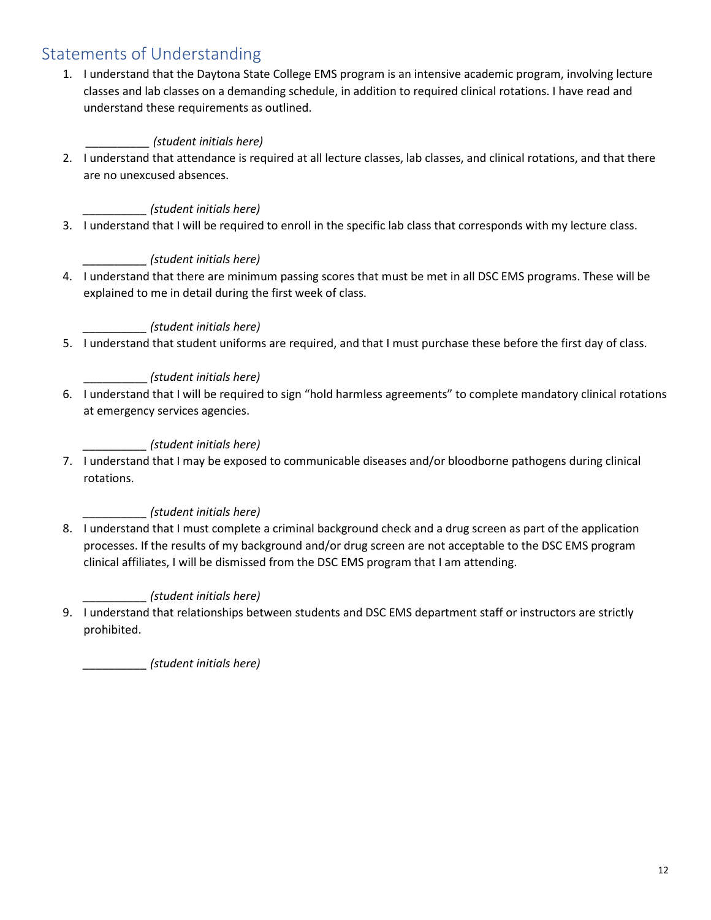## Statements of Understanding

1. I understand that the Daytona State College EMS program is an intensive academic program, involving lecture classes and lab classes on a demanding schedule, in addition to required clinical rotations. I have read and understand these requirements as outlined.

### *\_\_\_\_\_\_\_\_\_\_ (student initials here)*

2. I understand that attendance is required at all lecture classes, lab classes, and clinical rotations, and that there are no unexcused absences.

### *\_\_\_\_\_\_\_\_\_\_ (student initials here)*

3. I understand that I will be required to enroll in the specific lab class that corresponds with my lecture class.

### *\_\_\_\_\_\_\_\_\_\_ (student initials here)*

4. I understand that there are minimum passing scores that must be met in all DSC EMS programs. These will be explained to me in detail during the first week of class.

### *\_\_\_\_\_\_\_\_\_\_ (student initials here)*

5. I understand that student uniforms are required, and that I must purchase these before the first day of class.

### \_\_\_\_\_\_\_\_\_\_ *(student initials here)*

6. I understand that I will be required to sign "hold harmless agreements" to complete mandatory clinical rotations at emergency services agencies.

### *\_\_\_\_\_\_\_\_\_\_ (student initials here)*

7. I understand that I may be exposed to communicable diseases and/or bloodborne pathogens during clinical rotations.

### *\_\_\_\_\_\_\_\_\_\_ (student initials here)*

8. I understand that I must complete a criminal background check and a drug screen as part of the application processes. If the results of my background and/or drug screen are not acceptable to the DSC EMS program clinical affiliates, I will be dismissed from the DSC EMS program that I am attending.

### *\_\_\_\_\_\_\_\_\_\_ (student initials here)*

9. I understand that relationships between students and DSC EMS department staff or instructors are strictly prohibited.

*\_\_\_\_\_\_\_\_\_\_ (student initials here)*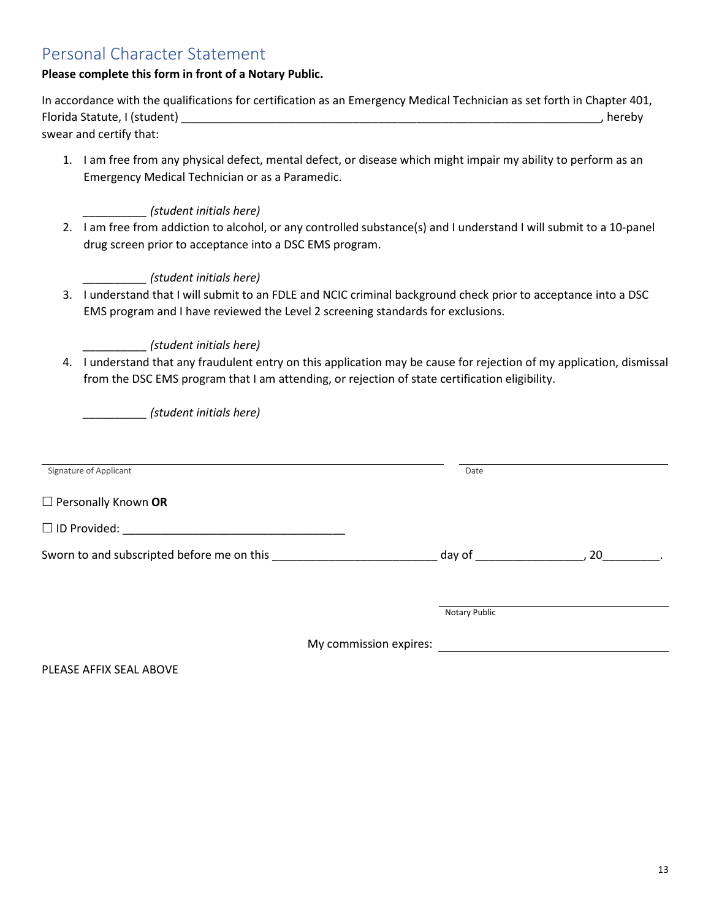## Personal Character Statement

### **Please complete this form in front of a Notary Public.**

| In accordance with the qualifications for certification as an Emergency Medical Technician as set forth in Chapter 401, |          |
|-------------------------------------------------------------------------------------------------------------------------|----------|
| Florida Statute, I (student)                                                                                            | , hereby |
| swear and certify that:                                                                                                 |          |

1. I am free from any physical defect, mental defect, or disease which might impair my ability to perform as an Emergency Medical Technician or as a Paramedic.

### *\_\_\_\_\_\_\_\_\_\_ (student initials here)*

2. I am free from addiction to alcohol, or any controlled substance(s) and I understand I will submit to a 10-panel drug screen prior to acceptance into a DSC EMS program.

### *\_\_\_\_\_\_\_\_\_\_ (student initials here)*

3. I understand that I will submit to an FDLE and NCIC criminal background check prior to acceptance into a DSC EMS program and I have reviewed the Level 2 screening standards for exclusions.

### *\_\_\_\_\_\_\_\_\_\_ (student initials here)*

4. I understand that any fraudulent entry on this application may be cause for rejection of my application, dismissal from the DSC EMS program that I am attending, or rejection of state certification eligibility.

*\_\_\_\_\_\_\_\_\_\_ (student initials here)*

| Signature of Applicant                     | Date          |    |
|--------------------------------------------|---------------|----|
| $\Box$ Personally Known OR                 |               |    |
| $\Box$ ID Provided:                        |               |    |
| Sworn to and subscripted before me on this | day of        | 20 |
|                                            |               |    |
|                                            | Notary Public |    |

My commission expires:

PLEASE AFFIX SEAL ABOVE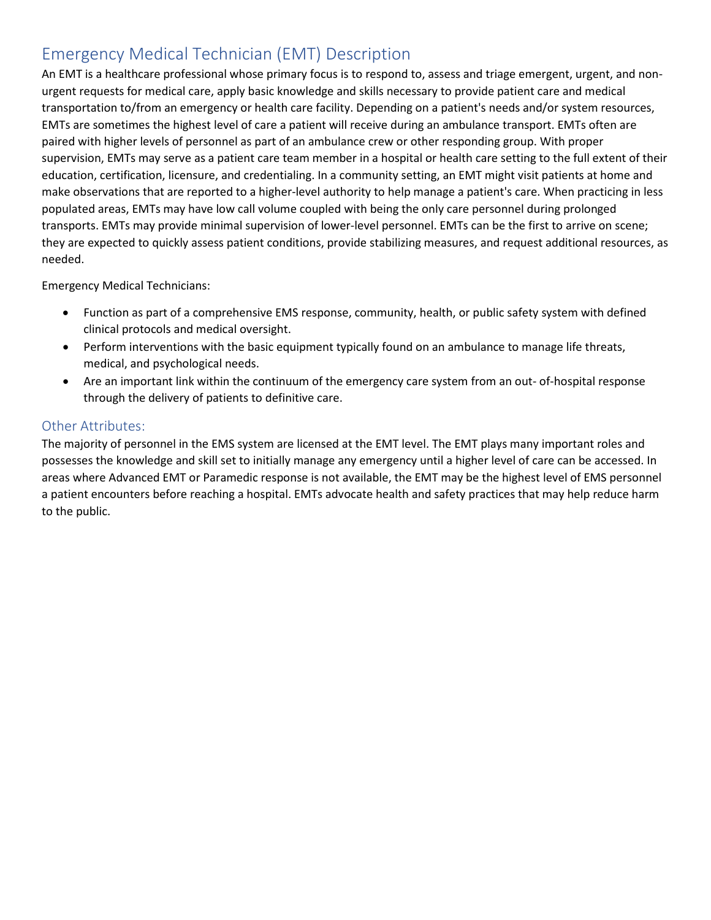# Emergency Medical Technician (EMT) Description

An EMT is a healthcare professional whose primary focus is to respond to, assess and triage emergent, urgent, and nonurgent requests for medical care, apply basic knowledge and skills necessary to provide patient care and medical transportation to/from an emergency or health care facility. Depending on a patient's needs and/or system resources, EMTs are sometimes the highest level of care a patient will receive during an ambulance transport. EMTs often are paired with higher levels of personnel as part of an ambulance crew or other responding group. With proper supervision, EMTs may serve as a patient care team member in a hospital or health care setting to the full extent of their education, certification, licensure, and credentialing. In a community setting, an EMT might visit patients at home and make observations that are reported to a higher-level authority to help manage a patient's care. When practicing in less populated areas, EMTs may have low call volume coupled with being the only care personnel during prolonged transports. EMTs may provide minimal supervision of lower-level personnel. EMTs can be the first to arrive on scene; they are expected to quickly assess patient conditions, provide stabilizing measures, and request additional resources, as needed.

Emergency Medical Technicians:

- Function as part of a comprehensive EMS response, community, health, or public safety system with defined clinical protocols and medical oversight.
- Perform interventions with the basic equipment typically found on an ambulance to manage life threats, medical, and psychological needs.
- Are an important link within the continuum of the emergency care system from an out- of-hospital response through the delivery of patients to definitive care.

### Other Attributes:

The majority of personnel in the EMS system are licensed at the EMT level. The EMT plays many important roles and possesses the knowledge and skill set to initially manage any emergency until a higher level of care can be accessed. In areas where Advanced EMT or Paramedic response is not available, the EMT may be the highest level of EMS personnel a patient encounters before reaching a hospital. EMTs advocate health and safety practices that may help reduce harm to the public.